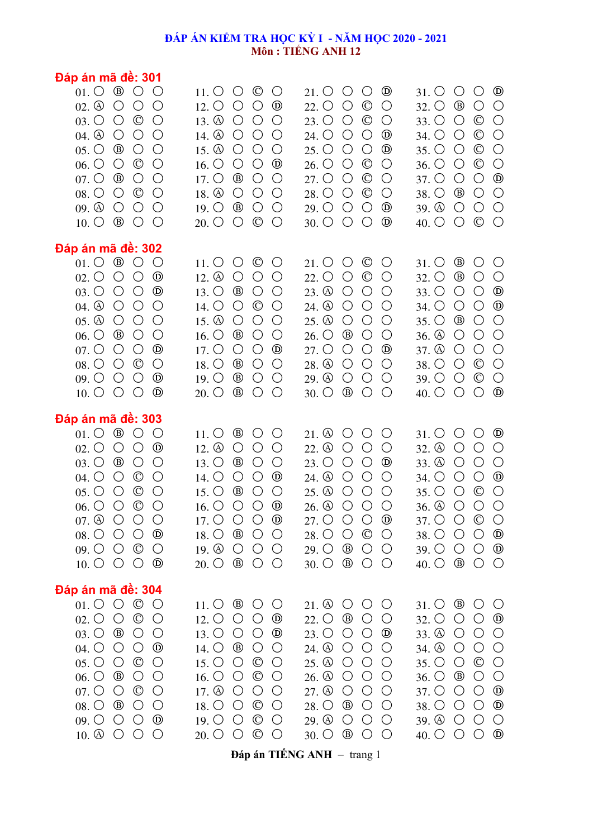## **ĐÁP ÁN KIỂM TRA HỌC KỲ I - NĂM HỌC 2020 - 2021 Môn : TIẾNG ANH 12**

| Đáp án mã đê: 301                                                                                                                                                                                                                                                                                                                                                                                                                                                                                                                                                                                                                                                                                                                                 |                                                                                                                                                                                                                                                                                                                                                                                                                                                                                                                                                                                                                                                                    |                                                                                                                                                                                                                                                                                                                                                                                                                                                                                                                                                                                                                                      |                                                                                                                                                                                                                                                                                                                                                                                                                                                                                                                                                                                                                              |
|---------------------------------------------------------------------------------------------------------------------------------------------------------------------------------------------------------------------------------------------------------------------------------------------------------------------------------------------------------------------------------------------------------------------------------------------------------------------------------------------------------------------------------------------------------------------------------------------------------------------------------------------------------------------------------------------------------------------------------------------------|--------------------------------------------------------------------------------------------------------------------------------------------------------------------------------------------------------------------------------------------------------------------------------------------------------------------------------------------------------------------------------------------------------------------------------------------------------------------------------------------------------------------------------------------------------------------------------------------------------------------------------------------------------------------|--------------------------------------------------------------------------------------------------------------------------------------------------------------------------------------------------------------------------------------------------------------------------------------------------------------------------------------------------------------------------------------------------------------------------------------------------------------------------------------------------------------------------------------------------------------------------------------------------------------------------------------|------------------------------------------------------------------------------------------------------------------------------------------------------------------------------------------------------------------------------------------------------------------------------------------------------------------------------------------------------------------------------------------------------------------------------------------------------------------------------------------------------------------------------------------------------------------------------------------------------------------------------|
| $\circledcirc$<br>$01.$ $\circlearrowright$<br>$\bigcirc$<br>$02.$ $\circledcirc$<br>$\bigcirc$<br>$\bigcirc$<br>$\bigcirc$<br>$\circledcirc$<br>$\bigcirc$<br>$03.$ $\circ$<br>$\bigcirc$<br>$\bigcirc$<br>$04.$ $\circledcirc$<br>$\bigcirc$<br>$\bigcirc$<br>$^{\circledR}$<br>$\bigcirc$<br>$\bigcirc$<br>$05.$ $\circlearrowright$<br>$\circledcirc$<br>$06.$ $\circlearrowright$<br>$\bigcirc$<br>$\bigcirc$<br>$07.$ $\circlearrowright$<br>$^{\circledR}$<br>$\bigcirc$<br>$\bigcirc$<br>$08.$ $\circlearrowright$<br>$\circledcirc$<br>$\bigcirc$<br>$\bigcirc$<br>$\bigcirc$<br>$\bigcirc$<br>$09.$ $\circled{0}$<br>$\bigcirc$<br>$^{\circledR}$<br>$10. \circlearrowright$<br>$\bigcirc$<br>$\bigcirc$                                | $\circledcirc$<br>$\bigcirc$<br>$\bigcirc$<br>$11.$ O<br>$12. \circlearrowright$<br>$\bigcirc$<br>$\bigcirc$<br>$^{\circledR}$<br>13. $\circled{0}$<br>$\bigcirc$<br>$\bigcirc$<br>$\bigcirc$<br>$\bigcirc$<br>14. $\circled{0}$<br>$\bigcirc$<br>$\bigcirc$<br>15. $\circled{0}$<br>$\bigcirc$<br>$\bigcirc$<br>$\bigcirc$<br>$^{\circledR}$<br>16. O<br>$\bigcirc$<br>$\bigcirc$<br>$17.$ $\circlearrowright$<br>$^{\circledR}$<br>$\bigcirc$<br>$\bigcirc$<br>$18. \textcircled{4}$<br>$\bigcirc$<br>$\bigcirc$<br>$\bigcirc$<br>$^{\circledR}$<br>$\bigcirc$<br>$\bigcirc$<br>$19. \circlearrowright$<br>$\circledcirc$<br>$20.$ O<br>$\bigcirc$<br>$\bigcirc$ | $^{\circledR}$<br>O<br>$21.$ O<br>$\bigcirc$<br>$22.$ O<br>$\bigcirc$<br>$\circledcirc$<br>$\bigcirc$<br>23. O<br>$\circledcirc$<br>$\bigcirc$<br>$\bigcirc$<br>$^{\circledR}$<br>24. O<br>$\bigcirc$<br>$\bigcirc$<br>$^{\circledR}$<br>$25.$ O<br>$\bigcirc$<br>$\bigcirc$<br>26. O<br>$\bigcirc$<br>$\circledcirc$<br>$\bigcirc$<br>$27.$ O<br>$\bigcirc$<br>$_{\mathbb{C}}$<br>$\bigcirc$<br>28. O<br>$_{\mathbb{O}}$<br>$\bigcirc$<br>$\bigcirc$<br>$^{\circledR}$<br>$29.$ O<br>$\bigcirc$<br>$\bigcirc$<br>$^{\circledR}$<br>$30.$ $\circ$<br>$\bigcirc$<br>$\bigcirc$                                                        | $^{\circledR}$<br>O<br>$\bigcirc$<br>$31.$ O<br>$\bigcirc$<br>$\bigcirc$<br>$32.$ O<br>$^{\circledR}$<br>$\circledcirc$<br>$\bigcirc$<br>33. O<br>$\bigcirc$<br>$\circledcirc$<br>$\bigcirc$<br>$\bigcirc$<br>34. O<br>$\circledcirc$<br>$\bigcirc$<br>$\bigcirc$<br>$35.$ $\bigcirc$<br>$\circledcirc$<br>$\bigcirc$<br>$\bigcirc$<br>36. O<br>$\bigcirc$<br>$^{\circledR}$<br>37. O<br>$\bigcirc$<br>38. O<br>$^{\circledR}$<br>$\bigcirc$<br>$\bigcirc$<br>$\bigcirc$<br>$\bigcirc$<br>$39.$ $\circled{0}$<br>$\bigcirc$<br>$\circledcirc$<br>$\bigcirc$<br>$\bigcirc$<br>40. $\circ$                                     |
| Đáp án mã đề: 302<br>$01. \circ$ $\circ$ $\circ$<br>$\bigcirc$<br>$\bigcirc$<br>$\bigcirc$<br>$^{\circledR}$<br>$02.$ $\circlearrowright$<br>$\bigcirc$<br>$\bigcirc$<br>$^{\circledR}$<br>$03.$ $\circlearrowright$<br>$04.$ $\circledcirc$<br>$\bigcirc$<br>$\bigcirc$<br>$\bigcirc$<br>$05.$ $\circledcirc$<br>$\bigcirc$<br>$\bigcirc$<br>$\bigcirc$<br>$^{\circledR}$<br>$\bigcirc$<br>$\bigcirc$<br>$06.$ $\circlearrowright$<br>$^{\circledR}$<br>$07.$ $\circlearrowright$<br>$\bigcirc$<br>$\bigcirc$<br>$\bigcirc$<br>$\circledcirc$<br>$\bigcirc$<br>$08.$ $\circlearrowright$<br>$\bigcirc$<br>$^{\circledR}$<br>$09.$ $\circlearrowright$<br>$\bigcirc$<br>$\bigcirc$<br>$\bigcirc$<br>$^{\circledR}$<br>$10.$ $\circlearrowright$   | $\circledcirc$<br>$\bigcirc$<br>$\bigcirc$<br>$11. \circlearrowright$<br>12. $\circledA$<br>O<br>$\bigcirc$<br>$\bigcirc$<br>$^{\circledR}$<br>$\bigcirc$<br>$\bigcirc$<br>$13.$ $\circ$<br>$\circledcirc$<br>14. O<br>$\bigcirc$<br>$\bigcirc$<br>15. $\circledcirc$<br>$\bigcirc$<br>$\bigcirc$<br>$\bigcirc$<br>16. O<br>$^{\circledR}$<br>$\bigcirc$<br>$\bigcirc$<br>$\bigcirc$<br>$^{\circledR}$<br>17. O<br>$\bigcirc$<br>$^{\circledR}$<br>$\bigcirc$<br>$\bigcirc$<br>18. O<br>19. O<br>$^{\circledR}$<br>$\bigcirc$<br>$\bigcirc$<br>$^{\circledR}$<br>O<br>$\bigcirc$<br>$20.$ $\circ$                                                                  | $\circledcirc$<br>$21.$ O<br>$\bigcirc$<br>$\bigcirc$<br>22. O<br>$\circledcirc$<br>$\bigcirc$<br>$\bigcirc$<br>23. $\circledcirc$<br>$\bigcirc$<br>$\bigcirc$<br>$\bigcirc$<br>24. <sup>a</sup><br>$\bigcirc$<br>$\bigcirc$<br>$\bigcirc$<br>$25.$ $\circledcirc$<br>$\bigcirc$<br>$\bigcirc$<br>$\bigcirc$<br>26. O<br>$^{\circledR}$<br>$\bigcirc$<br>$\bigcirc$<br>$^{\circledR}$<br>27. O<br>$\bigcirc$<br>$\bigcirc$<br>$\bigcirc$<br>$\bigcirc$<br>$\bigcirc$<br>28. <sup>a</sup><br>29. $\circledcirc$<br>O<br>O<br>$\bigcirc$<br>$^{\circledR}$<br>$\bigcirc$<br>$\bigcirc$<br>$30.$ $\circlearrowright$                    | $^{\circledR}$<br>$\bigcirc$<br>$31.$ $\circ$<br>$\bigcirc$<br>$\bigcirc$<br>$32.$ O<br>$^{\circledR}$<br>$\bigcirc$<br>$\bigcirc$<br>$^{\circledR}$<br>$33.$ O<br>$\bigcirc$<br>$^{\circledR}$<br>$\bigcirc$<br>$\bigcirc$<br>34. O<br>$^{\circledR}$<br>$\bigcirc$<br>$\bigcirc$<br>$35.$ $\bigcirc$<br>$\bigcirc$<br>$36.$ $\circledcirc$<br>$\bigcirc$<br>$\bigcirc$<br>$\bigcirc$<br>$\bigcirc$<br>37. <sup>a</sup><br>$\bigcirc$<br>$\bigcirc$<br>$\circledcirc$<br>$\bigcirc$<br>38. O<br>$\circledcirc$<br>$\bigcirc$<br>$39.$ $\bigcirc$<br>$\bigcirc$<br>$\bigcirc$<br>$\bigcirc$<br>$^{\circledR}$<br>40. $\circ$ |
| Đáp án mã đề: 303<br>$01.$ $\odot$ $\odot$ $\odot$<br>$\bigcirc$<br>$\bigcirc$<br>$\bigcirc$<br>$^{\circledR}$<br>$02.$ $\circlearrowright$<br>$\bigcirc$<br>$03.$ $\circlearrowright$<br>$^{\circledR}$<br>$\bigcirc$<br>$\circledcirc$<br>$04.$ $\circlearrowright$<br>$\bigcirc$<br>$\bigcirc$<br>$05.$ $\circlearrowright$<br>$\bigcirc$<br>$\circledcirc$<br>$\bigcirc$<br>$\bigcirc$<br>$\circledcirc$<br>$\bigcirc$<br>$06.$ $\circlearrowright$<br>$07.$ $\odot$ $\odot$ $\odot$<br>$\bigcirc$<br>$^{\circledR}$<br>$08.$ $\circlearrowright$<br>$\bigcirc$<br>$\bigcirc$<br>$\circ$<br>$09.$ $\circlearrowright$<br>$\bigcirc$<br>$^{\circledR}$<br>$10. \circ \circ \circ \circ$                                                        | $^{\circledR}$<br>$\bigcirc$<br>$\bigcirc$<br>$11. \circlearrowright$<br>12. $\circledA$<br>$\bigcirc$<br>$\bigcirc$<br>$\bigcirc$<br>$^{\circledR}$<br>$\bigcirc$<br>$13. \circlearrowright$<br>O<br>$\bigcirc$<br>14. O<br>$\bigcirc$<br>$^{\circledR}$<br>$15.$ $\circ$<br>$^{\circledR}$<br>$\bigcirc$<br>O<br>$\bigcirc$<br>$^{\circledR}$<br>$16.$ $\circ$<br>$\bigcirc$<br>$^{\circledR}$<br>17. $\bigcirc$ $\bigcirc$<br>$\bigcirc$<br>$^{\circledR}$<br>$\bigcirc$<br>$18. \circlearrowright$<br>$\bigcirc$<br>19. $\circledcirc$<br>$\bigcirc$<br>$\bigcirc$<br>$\bigcirc$<br>$20.$ $\circlearrowright$<br>$\circledB$<br>$\bigcirc$<br>$\bigcirc$       | $21.$ $\circledcirc$<br>$\bigcirc$<br>$\bigcirc$<br>$\bigcirc$<br>22. $\circledA$<br>$\bigcirc$<br>$\bigcirc$<br>$\bigcirc$<br>$23.$ O<br>$^{\circledR}$<br>$\bigcirc$<br>$\bigcirc$<br>24. <sup>①</sup><br>$\bigcirc$<br>$\bigcirc$<br>$\bigcirc$<br>25. $\circledcirc$<br>$\bigcirc$<br>$\bigcirc$<br>$\bigcirc$<br>$\bigcirc$<br>$26.$ $\circledcirc$<br>$\bigcirc$<br>$\bigcirc$<br>$^\circledR$<br>27. O O<br>$\bigcirc$<br>28. O<br>$\bigcirc$<br>$\circledcirc$<br>$\bigcirc$<br>$29.$ O<br>$^{\circledR}$<br>$\bigcirc$<br>$\bigcirc$<br>$30.$ O<br>$\circledB$<br>$\bigcirc$<br>$\bigcirc$                                  | $\bigcirc$<br>$^{\circledR}$<br>$31.$ O<br>$\bigcirc$<br>$32.$ $\circledcirc$<br>$\bigcirc$<br>$\bigcirc$<br>$\bigcirc$<br>33. <sup>a</sup><br>$\bigcirc$<br>$\bigcirc$<br>$\bigcirc$<br>$\bigcirc$<br>$^{\circledR}$<br>$\bigcirc$<br>34. O<br>$\circledcirc$<br>$\bigcirc$<br>$\bigcirc$<br>$35.$ $\circ$<br>$\bigcirc$<br>$\bigcirc$<br>$\bigcirc$<br>36. $\circled{a}$<br>$\circledcirc$<br>37. O O<br>$\bigcirc$<br>$^{\circledR}$<br>$\bigcirc$<br>38. O<br>$\bigcirc$<br>$^{\circledR}$<br>$39.$ O<br>$\bigcirc$<br>$\bigcirc$<br>$40.$ O<br>$\circledB$<br>$\bigcirc$<br>$\bigcirc$                                  |
| Đáp án mã đề: 304<br>$01. \circ \circ \circ$<br>$\circ$<br>$\circledcirc$<br>$\bigcirc$<br>$\bigcirc$<br>$02.$ $\circlearrowright$<br>$^{\circledR}$<br>$\bigcirc$<br>$03.$ $\circlearrowright$<br>$\bigcirc$<br>$^{\circledR}$<br>$04.$ $\circlearrowright$<br>$\bigcirc$<br>$\bigcirc$<br>$\bigcirc$<br>$\circledcirc$<br>$\bigcirc$<br>$05.$ $\circlearrowright$<br>$06.$ $\circlearrowright$<br>$^{\circledR}$<br>$\bigcirc$<br>$\bigcirc$<br>$\circledcirc$<br>$\bigcirc$<br>$07.$ $\circlearrowright$<br>$\bigcirc$<br>$^{\circledR}$<br>$08.$ $\circlearrowright$<br>$\bigcirc$<br>$\bigcirc$<br>$09.$ $\circlearrowright$<br>$\bigcirc$<br>$\bigcirc$<br>$^{\circledR}$<br>$10.$ $\circledcirc$<br>$\bigcirc$<br>$\bigcirc$<br>$\bigcirc$ | $^{\circledR}$<br>$\bigcirc$<br>$11. \circlearrowright$<br>$\bigcirc$<br>$12. \circlearrowright$<br>$\bigcirc$<br>$\bigcirc$<br>$^{\circledR}$<br>13. O<br>$^{\circledR}$<br>$\bigcirc$<br>$\bigcirc$<br>14. O<br>$^{\circledR}$<br>$\bigcirc$<br>$\bigcirc$<br>$15.$ O<br>$\bigcirc$<br>$\circledcirc$<br>$\bigcirc$<br>$16.$ O<br>$\bigcirc$<br>$\circledcirc$<br>$\bigcirc$<br>$\bigcirc$<br>$\bigcirc$<br>17. $\circledcirc$<br>$\bigcirc$<br>18. O<br>$\circledcirc$<br>$\bigcirc$<br>$\bigcirc$<br>$19.$ O<br>$\bigcirc$<br>$\circledcirc$<br>$\bigcirc$<br>$20.$ O<br>$\circledcirc$<br>$\bigcirc$<br>$\bigcirc$                                            | 21. $\circledcirc$<br>$\bigcirc$<br>$\bigcirc$<br>$\bigcirc$<br>$^{\circledR}$<br>$22.$ O<br>$\bigcirc$<br>$\bigcirc$<br>$23.$ O<br>$\bigcirc$<br>$^{\circledR}$<br>$\bigcirc$<br>24. <sup>a</sup><br>$\bigcirc$<br>$\bigcirc$<br>$\bigcirc$<br>$25.$ $\circledcirc$<br>$\bigcirc$<br>$\bigcirc$<br>$\bigcirc$<br>26. <sup>①</sup><br>$\bigcirc$<br>$\bigcirc$<br>$\bigcirc$<br>$\bigcirc$<br>27. <sup>a</sup><br>$\bigcirc$<br>$\bigcirc$<br>28. O<br>$^{\circledR}$<br>$\bigcirc$<br>$\bigcirc$<br>$29.$ $\circled{0}$<br>$\bigcirc$<br>O<br>$\bigcirc$<br>$30.$ $\circlearrowright$<br>$^{\circledR}$<br>$\bigcirc$<br>$\bigcirc$ | $31.$ O<br>$\circledB$<br>$\bigcirc$<br>$\bigcirc$<br>$\bigcirc$<br>$^{\circledR}$<br>32. O<br>$\bigcirc$<br>$33.$ $\circled{0}$<br>$\bigcirc$<br>$\bigcirc$<br>$\bigcirc$<br>34. <sup>®</sup><br>$\bigcirc$<br>$\bigcirc$<br>$\bigcirc$<br>$\circledcirc$<br>$\bigcirc$<br>$\bigcirc$<br>$35.$ O<br>$\bigcirc$<br>$\bigcirc$<br>$36.$ $\circ$<br>$^{\circledR}$<br>$\bigcirc$<br>$^{\circledR}$<br>$37.$ O<br>$\bigcirc$<br>$^{\circledR}$<br>38. O<br>$\bigcirc$<br>$\bigcirc$<br>39. <sup>4</sup><br>$\bigcirc$<br>$\bigcirc$<br>$\bigcirc$<br>$^{\circledR}$<br>$40.$ $\circ$<br>$\bigcirc$<br>O                         |

**Đáp án TIẾNG ANH** - trang 1